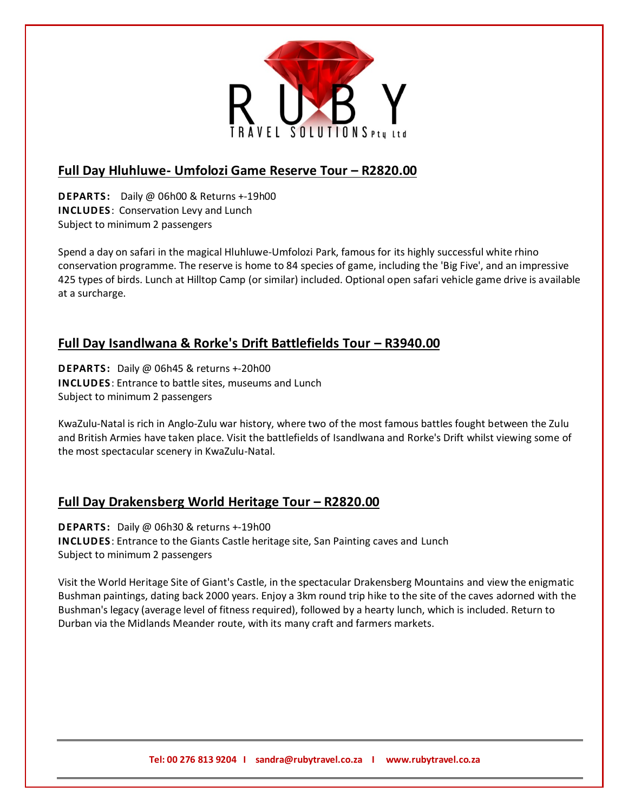

### **Full Day Hluhluwe- Umfolozi Game Reserve Tour – R2820.00**

**DEPARTS:** Daily @ 06h00 & Returns +-19h00 **INCLUDES**: Conservation Levy and Lunch Subject to minimum 2 passengers

Spend a day on safari in the magical Hluhluwe-Umfolozi Park, famous for its highly successful white rhino conservation programme. The reserve is home to 84 species of game, including the 'Big Five', and an impressive 425 types of birds. Lunch at Hilltop Camp (or similar) included. Optional open safari vehicle game drive is available at a surcharge.

# **Full Day Isandlwana & Rorke's Drift Battlefields Tour – R3940.00**

**DEPARTS:** Daily @ 06h45 & returns +-20h00 **INCLUDES**: Entrance to battle sites, museums and Lunch Subject to minimum 2 passengers

KwaZulu-Natal is rich in Anglo-Zulu war history, where two of the most famous battles fought between the Zulu and British Armies have taken place. Visit the battlefields of Isandlwana and Rorke's Drift whilst viewing some of the most spectacular scenery in KwaZulu-Natal.

# **Full Day Drakensberg World Heritage Tour – R2820.00**

**DEPARTS:** Daily @ 06h30 & returns +-19h00 **INCLUDES**: Entrance to the Giants Castle heritage site, San Painting caves and Lunch Subject to minimum 2 passengers

Visit the World Heritage Site of Giant's Castle, in the spectacular Drakensberg Mountains and view the enigmatic Bushman paintings, dating back 2000 years. Enjoy a 3km round trip hike to the site of the caves adorned with the Bushman's legacy (average level of fitness required), followed by a hearty lunch, which is included. Return to Durban via the Midlands Meander route, with its many craft and farmers markets.